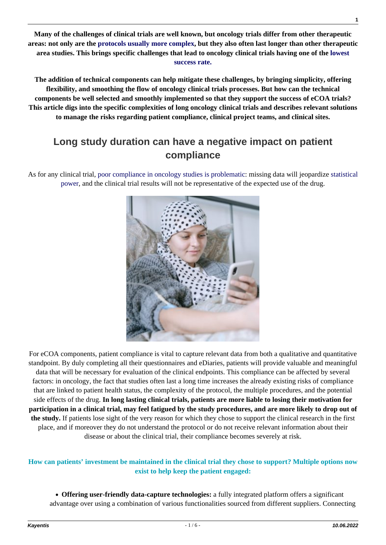**Many of the challenges of clinical trials are well known, but oncology trials differ from other therapeutic areas: not only are the [protocols usually more complex,](https://kayentis.com/addressing-the-specific-complexities-of-oncology-ecoa-clinical-trials/) but they also often last longer than other therapeutic area studies. This brings specific challenges that lead to oncology clinical trials having one of the [lowest](https://www.iqvia.com/insights/the-iqvia-institute/reports/global-oncology-trends-2019#:~:text=%20Oncology%20clinical%20trials%20have%20a%20high%20risk,was%203.2%20years%20compared%20to%201.8...%20More%20) [success rate.](https://www.iqvia.com/insights/the-iqvia-institute/reports/global-oncology-trends-2019#:~:text=%20Oncology%20clinical%20trials%20have%20a%20high%20risk,was%203.2%20years%20compared%20to%201.8...%20More%20)**

**The addition of technical components can help mitigate these challenges, by bringing simplicity, offering flexibility, and smoothing the flow of oncology clinical trials processes. But how can the technical components be well selected and smoothly implemented so that they support the success of eCOA trials? This article digs into the specific complexities of long oncology clinical trials and describes relevant solutions to manage the risks regarding patient compliance, clinical project teams, and clinical sites.**

# **Long study duration can have a negative impact on patient compliance**

As for any clinical trial, [poor compliance in oncology studies is problematic](https://www.ncbi.nlm.nih.gov/pmc/articles/PMC5934909/): missing data will jeopardize [statistical](https://pubmed.ncbi.nlm.nih.gov/3072187/) [power](https://pubmed.ncbi.nlm.nih.gov/3072187/), and the clinical trial results will not be representative of the expected use of the drug.



For eCOA components, patient compliance is vital to capture relevant data from both a qualitative and quantitative standpoint. By duly completing all their questionnaires and eDiaries, patients will provide valuable and meaningful data that will be necessary for evaluation of the clinical endpoints. This compliance can be affected by several factors: in oncology, the fact that studies often last a long time increases the already existing risks of compliance that are linked to patient health status, the complexity of the protocol, the multiple procedures, and the potential side effects of the drug. **In long lasting clinical trials, patients are more liable to losing their motivation for participation in a clinical trial, may feel fatigued by the study procedures, and are more likely to drop out of the study.** If patients lose sight of the very reason for which they chose to support the clinical research in the first place, and if moreover they do not understand the protocol or do not receive relevant information about their disease or about the clinical trial, their compliance becomes severely at risk.

## **How can patients' investment be maintained in the clinical trial they chose to support? Multiple options now exist to help keep the patient engaged:**

**Offering user-friendly data-capture technologies:** a fully integrated platform offers a significant advantage over using a combination of various functionalities sourced from different suppliers. Connecting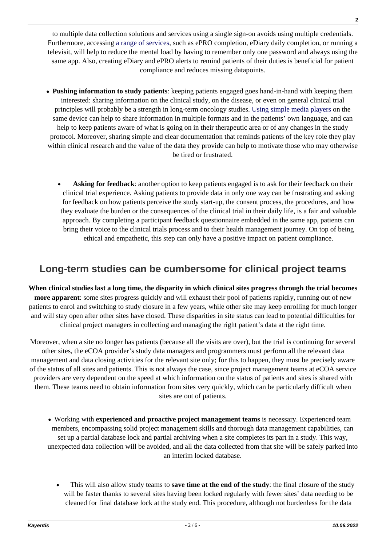to multiple data collection solutions and services using a single sign-on avoids using multiple credentials. Furthermore, accessing [a range of services](https://kayentis.com/decentralized-clinical-trialsusing-a-single-platform-for-an-enhanced-patient-experience/), such as ePRO completion, eDiary daily completion, or running a televisit, will help to reduce the mental load by having to remember only one password and always using the same app. Also, creating eDiary and ePRO alerts to remind patients of their duties is beneficial for patient compliance and reduces missing datapoints.

- **Pushing information to study patients**: keeping patients engaged goes hand-in-hand with keeping them interested: sharing information on the clinical study, on the disease, or even on general clinical trial principles will probably be a strength in long-term oncology studies. [Using simple media players](https://kayentis.com/kayentis-media-player-for-informed-and-engaged-patients-in-clinical-trials/) on the same device can help to share information in multiple formats and in the patients' own language, and can help to keep patients aware of what is going on in their therapeutic area or of any changes in the study protocol. Moreover, sharing simple and clear documentation that reminds patients of the key role they play within clinical research and the value of the data they provide can help to motivate those who may otherwise be tired or frustrated.
	- **Asking for feedback**: another option to keep patients engaged is to ask for their feedback on their clinical trial experience. Asking patients to provide data in only one way can be frustrating and asking for feedback on how patients perceive the study start-up, the consent process, the procedures, and how they evaluate the burden or the consequences of the clinical trial in their daily life, is a fair and valuable approach. By completing a participant feedback questionnaire embedded in the same app, patients can bring their voice to the clinical trials process and to their health management journey. On top of being ethical and empathetic, this step can only have a positive impact on patient compliance.

## **Long-term studies can be cumbersome for clinical project teams**

**When clinical studies last a long time, the disparity in which clinical sites progress through the trial becomes more apparent**: some sites progress quickly and will exhaust their pool of patients rapidly, running out of new patients to enrol and switching to study closure in a few years, while other site may keep enrolling for much longer and will stay open after other sites have closed. These disparities in site status can lead to potential difficulties for clinical project managers in collecting and managing the right patient's data at the right time.

Moreover, when a site no longer has patients (because all the visits are over), but the trial is continuing for several other sites, the eCOA provider's study data managers and programmers must perform all the relevant data management and data closing activities for the relevant site only; for this to happen, they must be precisely aware of the status of all sites and patients. This is not always the case, since project management teams at eCOA service providers are very dependent on the speed at which information on the status of patients and sites is shared with them. These teams need to obtain information from sites very quickly, which can be particularly difficult when sites are out of patients.

- Working with **experienced and proactive project management teams** is necessary. Experienced team members, encompassing solid project management skills and thorough data management capabilities, can set up a partial database lock and partial archiving when a site completes its part in a study. This way, unexpected data collection will be avoided, and all the data collected from that site will be safely parked into an interim locked database.
	- This will also allow study teams to **save time at the end of the study**: the final closure of the study will be faster thanks to several sites having been locked regularly with fewer sites' data needing to be cleaned for final database lock at the study end. This procedure, although not burdenless for the data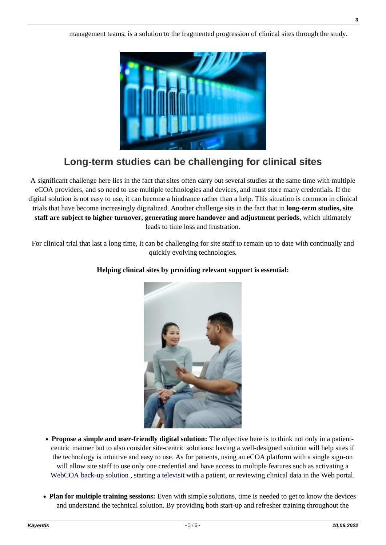management teams, is a solution to the fragmented progression of clinical sites through the study.



# **Long-term studies can be challenging for clinical sites**

A significant challenge here lies in the fact that sites often carry out several studies at the same time with multiple eCOA providers, and so need to use multiple technologies and devices, and must store many credentials. If the digital solution is not easy to use, it can become a hindrance rather than a help. This situation is common in clinical trials that have become increasingly digitalized. Another challenge sits in the fact that in **long-term studies, site staff are subject to higher turnover, generating more handover and adjustment periods**, which ultimately leads to time loss and frustration.

For clinical trial that last a long time, it can be challenging for site staff to remain up to date with continually and quickly evolving technologies.



## **Helping clinical sites by providing relevant support is essential:**

- **Propose a simple and user-friendly digital solution:** The objective here is to think not only in a patientcentric manner but to also consider site-centric solutions: having a well-designed solution will help sites if the technology is intuitive and easy to use. As for patients, using an eCOA platform with a single sign-on will allow site staff to use only one credential and have access to multiple features such as activating a WebCOA back-up solution, starting a [televisit](https://kayentis.com/televisits-in-clinical-trials-why-integrate-a-telemedecine-feature-in-your-ecoa-trials/) with a patient, or reviewing clinical data in the Web portal.
- **Plan for multiple training sessions:** Even with simple solutions, time is needed to get to know the devices and understand the technical solution. By providing both start-up and refresher training throughout the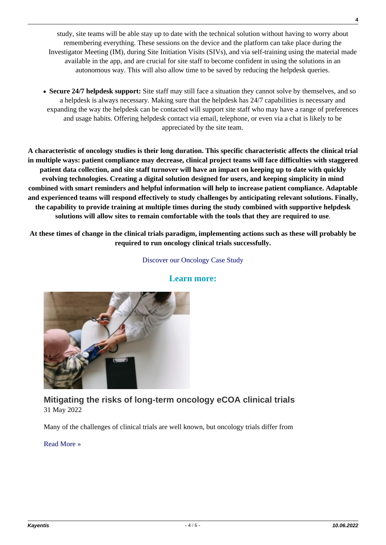study, site teams will be able stay up to date with the technical solution without having to worry about remembering everything. These sessions on the device and the platform can take place during the Investigator Meeting (IM), during Site Initiation Visits (SIVs), and via self-training using the material made available in the app, and are crucial for site staff to become confident in using the solutions in an autonomous way. This will also allow time to be saved by reducing the helpdesk queries.

**Secure 24/7 helpdesk support:** Site staff may still face a situation they cannot solve by themselves, and so a helpdesk is always necessary. Making sure that the helpdesk has 24/7 capabilities is necessary and expanding the way the helpdesk can be contacted will support site staff who may have a range of preferences and usage habits. Offering helpdesk contact via email, telephone, or even via a chat is likely to be appreciated by the site team.

**A characteristic of oncology studies is their long duration. This specific characteristic affects the clinical trial in multiple ways: patient compliance may decrease, clinical project teams will face difficulties with staggered patient data collection, and site staff turnover will have an impact on keeping up to date with quickly evolving technologies. Creating a digital solution designed for users, and keeping simplicity in mind combined with smart reminders and helpful information will help to increase patient compliance. Adaptable and experienced teams will respond effectively to study challenges by anticipating relevant solutions. Finally, the capability to provide training at multiple times during the study combined with supportive helpdesk solutions will allow sites to remain comfortable with the tools that they are required to use**.

**At these times of change in the clinical trials paradigm, implementing actions such as these will probably be required to run oncology clinical trials successfully.**

### [Discover our Oncology Case Study](https://kayentis.com/oncology-case-study/)



### **Learn more:**

## **[Mitigating the risks of long-term oncology eCOA clinical trials](https://kayentis.com/mitigating-the-risks-of-long-term-oncology-ecoa-clinical-trials/)** 31 May 2022

Many of the challenges of clinical trials are well known, but oncology trials differ from

[Read More »](https://kayentis.com/mitigating-the-risks-of-long-term-oncology-ecoa-clinical-trials/)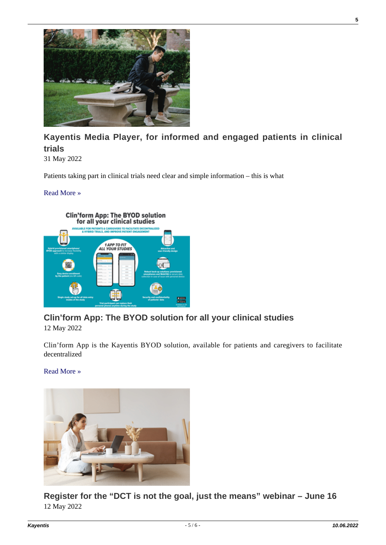

## **[Kayentis Media Player, for informed and engaged patients in clinical](https://kayentis.com/kayentis-media-player-for-informed-and-engaged-patients-in-clinical-trials/) [trials](https://kayentis.com/kayentis-media-player-for-informed-and-engaged-patients-in-clinical-trials/)**

31 May 2022

Patients taking part in clinical trials need clear and simple information – this is what

### [Read More »](https://kayentis.com/kayentis-media-player-for-informed-and-engaged-patients-in-clinical-trials/)



## **[Clin'form App: The BYOD solution for all your clinical studies](https://kayentis.com/clinform-app-the-byod-solution-for-all-your-clinical-studies/)**

12 May 2022

Clin'form App is the Kayentis BYOD solution, available for patients and caregivers to facilitate decentralized

### [Read More »](https://kayentis.com/clinform-app-the-byod-solution-for-all-your-clinical-studies/)



**[Register for the "DCT is not the goal, just the means" webinar – June 16](https://kayentis.com/register-for-the-dct-is-not-the-goal-just-the-means-webinar-june-16/)** 12 May 2022